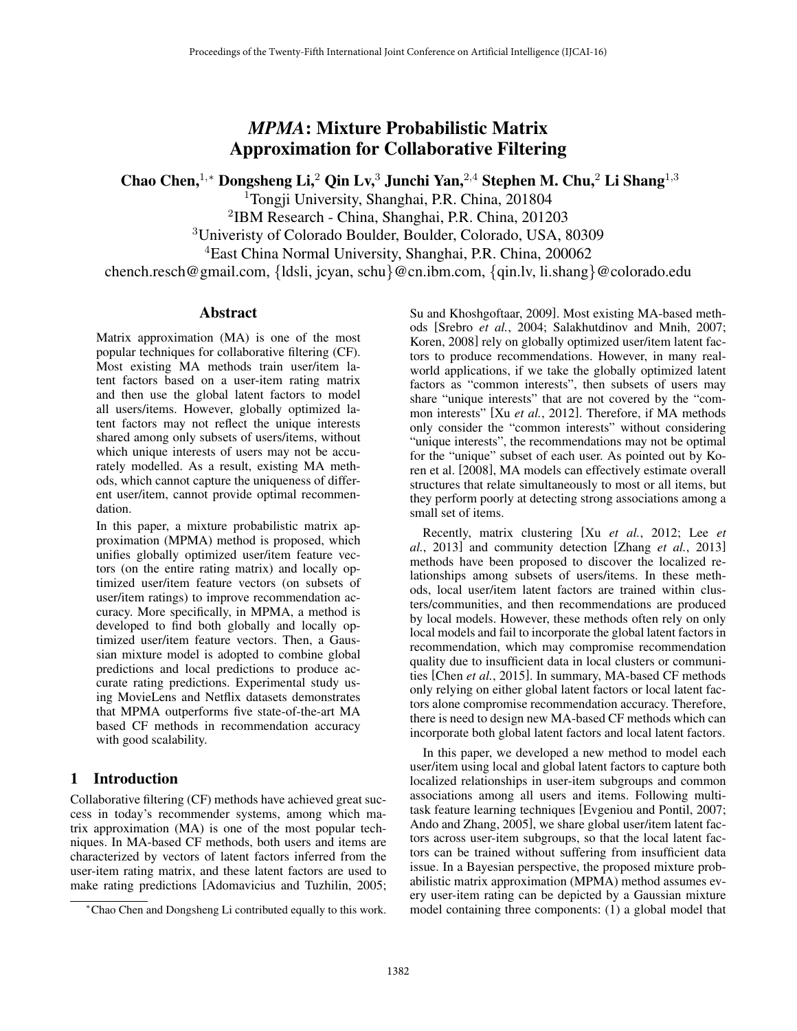# *MPMA*: Mixture Probabilistic Matrix Approximation for Collaborative Filtering

Chao Chen,<sup>1</sup>*,*⇤ Dongsheng Li,<sup>2</sup> Qin Lv,<sup>3</sup> Junchi Yan,<sup>2</sup>*,*<sup>4</sup> Stephen M. Chu,<sup>2</sup> Li Shang<sup>1</sup>*,*<sup>3</sup>

<sup>1</sup>Tongji University, Shanghai, P.R. China, 201804

<sup>2</sup>IBM Research - China, Shanghai, P.R. China, 201203

<sup>3</sup>Univeristy of Colorado Boulder, Boulder, Colorado, USA, 80309

<sup>4</sup>East China Normal University, Shanghai, P.R. China, 200062

chench.resch@gmail.com, *{*ldsli, jcyan, schu*}*@cn.ibm.com, *{*qin.lv, li.shang*}*@colorado.edu

## Abstract

Matrix approximation (MA) is one of the most popular techniques for collaborative filtering (CF). Most existing MA methods train user/item latent factors based on a user-item rating matrix and then use the global latent factors to model all users/items. However, globally optimized latent factors may not reflect the unique interests shared among only subsets of users/items, without which unique interests of users may not be accurately modelled. As a result, existing MA methods, which cannot capture the uniqueness of different user/item, cannot provide optimal recommendation.

In this paper, a mixture probabilistic matrix approximation (MPMA) method is proposed, which unifies globally optimized user/item feature vectors (on the entire rating matrix) and locally optimized user/item feature vectors (on subsets of user/item ratings) to improve recommendation accuracy. More specifically, in MPMA, a method is developed to find both globally and locally optimized user/item feature vectors. Then, a Gaussian mixture model is adopted to combine global predictions and local predictions to produce accurate rating predictions. Experimental study using MovieLens and Netflix datasets demonstrates that MPMA outperforms five state-of-the-art MA based CF methods in recommendation accuracy with good scalability.

## 1 Introduction

Collaborative filtering (CF) methods have achieved great success in today's recommender systems, among which matrix approximation (MA) is one of the most popular techniques. In MA-based CF methods, both users and items are characterized by vectors of latent factors inferred from the user-item rating matrix, and these latent factors are used to make rating predictions [Adomavicius and Tuzhilin, 2005; Su and Khoshgoftaar, 2009]. Most existing MA-based methods [Srebro *et al.*, 2004; Salakhutdinov and Mnih, 2007; Koren, 2008] rely on globally optimized user/item latent factors to produce recommendations. However, in many realworld applications, if we take the globally optimized latent factors as "common interests", then subsets of users may share "unique interests" that are not covered by the "common interests" [Xu *et al.*, 2012]. Therefore, if MA methods only consider the "common interests" without considering "unique interests", the recommendations may not be optimal for the "unique" subset of each user. As pointed out by Koren et al. [2008], MA models can effectively estimate overall structures that relate simultaneously to most or all items, but they perform poorly at detecting strong associations among a small set of items.

Recently, matrix clustering [Xu *et al.*, 2012; Lee *et al.*, 2013] and community detection [Zhang *et al.*, 2013] methods have been proposed to discover the localized relationships among subsets of users/items. In these methods, local user/item latent factors are trained within clusters/communities, and then recommendations are produced by local models. However, these methods often rely on only local models and fail to incorporate the global latent factors in recommendation, which may compromise recommendation quality due to insufficient data in local clusters or communities [Chen *et al.*, 2015]. In summary, MA-based CF methods only relying on either global latent factors or local latent factors alone compromise recommendation accuracy. Therefore, there is need to design new MA-based CF methods which can incorporate both global latent factors and local latent factors.

In this paper, we developed a new method to model each user/item using local and global latent factors to capture both localized relationships in user-item subgroups and common associations among all users and items. Following multitask feature learning techniques [Evgeniou and Pontil, 2007; Ando and Zhang, 2005], we share global user/item latent factors across user-item subgroups, so that the local latent factors can be trained without suffering from insufficient data issue. In a Bayesian perspective, the proposed mixture probabilistic matrix approximation (MPMA) method assumes every user-item rating can be depicted by a Gaussian mixture model containing three components: (1) a global model that

<sup>⇤</sup>Chao Chen and Dongsheng Li contributed equally to this work.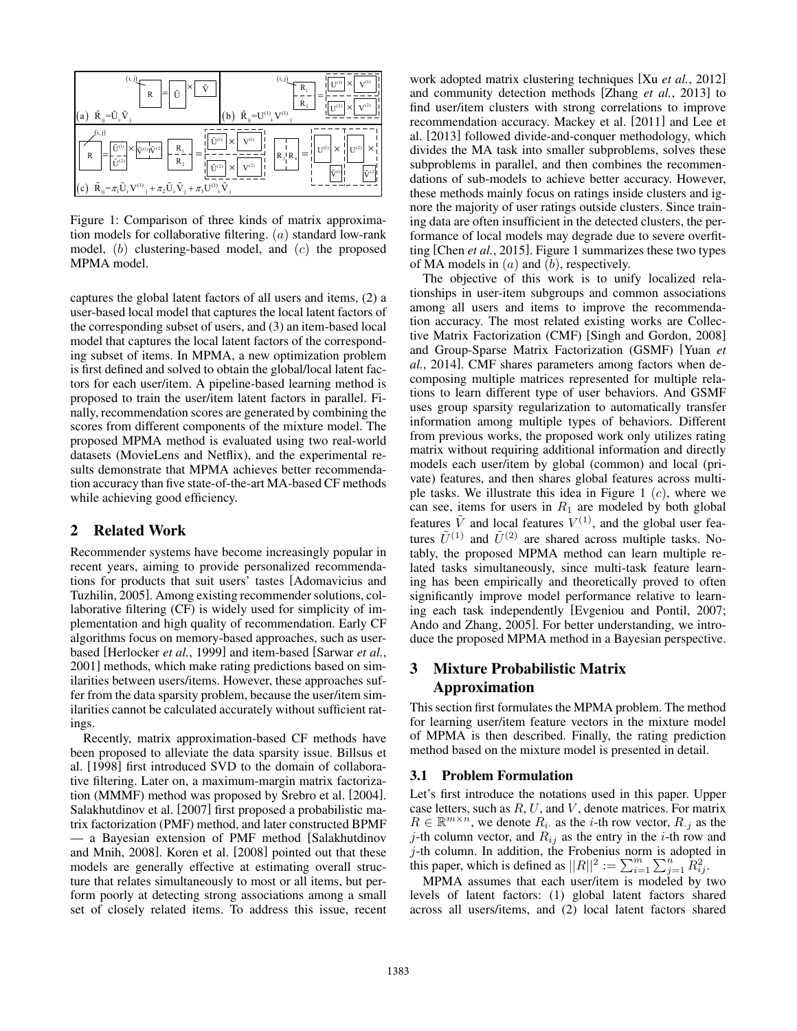

Figure 1: Comparison of three kinds of matrix approximation models for collaborative filtering. (*a*) standard low-rank model, (*b*) clustering-based model, and (*c*) the proposed MPMA model.

captures the global latent factors of all users and items, (2) a user-based local model that captures the local latent factors of the corresponding subset of users, and (3) an item-based local model that captures the local latent factors of the corresponding subset of items. In MPMA, a new optimization problem is first defined and solved to obtain the global/local latent factors for each user/item. A pipeline-based learning method is proposed to train the user/item latent factors in parallel. Finally, recommendation scores are generated by combining the scores from different components of the mixture model. The proposed MPMA method is evaluated using two real-world datasets (MovieLens and Netflix), and the experimental results demonstrate that MPMA achieves better recommendation accuracy than five state-of-the-art MA-based CF methods while achieving good efficiency.

## 2 Related Work

Recommender systems have become increasingly popular in recent years, aiming to provide personalized recommendations for products that suit users' tastes [Adomavicius and Tuzhilin, 2005]. Among existing recommender solutions, collaborative filtering (CF) is widely used for simplicity of implementation and high quality of recommendation. Early CF algorithms focus on memory-based approaches, such as userbased [Herlocker *et al.*, 1999] and item-based [Sarwar *et al.*, 2001] methods, which make rating predictions based on similarities between users/items. However, these approaches suffer from the data sparsity problem, because the user/item similarities cannot be calculated accurately without sufficient ratings.

Recently, matrix approximation-based CF methods have been proposed to alleviate the data sparsity issue. Billsus et al. [1998] first introduced SVD to the domain of collaborative filtering. Later on, a maximum-margin matrix factorization (MMMF) method was proposed by Srebro et al. [2004]. Salakhutdinov et al. [2007] first proposed a probabilistic matrix factorization (PMF) method, and later constructed BPMF — a Bayesian extension of PMF method [Salakhutdinov and Mnih, 2008]. Koren et al. [2008] pointed out that these models are generally effective at estimating overall structure that relates simultaneously to most or all items, but perform poorly at detecting strong associations among a small set of closely related items. To address this issue, recent work adopted matrix clustering techniques [Xu *et al.*, 2012] and community detection methods [Zhang *et al.*, 2013] to find user/item clusters with strong correlations to improve recommendation accuracy. Mackey et al. [2011] and Lee et al. [2013] followed divide-and-conquer methodology, which divides the MA task into smaller subproblems, solves these subproblems in parallel, and then combines the recommendations of sub-models to achieve better accuracy. However, these methods mainly focus on ratings inside clusters and ignore the majority of user ratings outside clusters. Since training data are often insufficient in the detected clusters, the performance of local models may degrade due to severe overfitting [Chen *et al.*, 2015]. Figure 1 summarizes these two types of MA models in (*a*) and (*b*), respectively.

The objective of this work is to unify localized relationships in user-item subgroups and common associations among all users and items to improve the recommendation accuracy. The most related existing works are Collective Matrix Factorization (CMF) [Singh and Gordon, 2008] and Group-Sparse Matrix Factorization (GSMF) [Yuan *et al.*, 2014]. CMF shares parameters among factors when decomposing multiple matrices represented for multiple relations to learn different type of user behaviors. And GSMF uses group sparsity regularization to automatically transfer information among multiple types of behaviors. Different from previous works, the proposed work only utilizes rating matrix without requiring additional information and directly models each user/item by global (common) and local (private) features, and then shares global features across multiple tasks. We illustrate this idea in Figure 1 (*c*), where we can see, items for users in  $R_1$  are modeled by both global features  $\tilde{V}$  and local features  $V^{(1)}$ , and the global user features  $\tilde{U}^{(1)}$  and  $\tilde{U}^{(2)}$  are shared across multiple tasks. Notably, the proposed MPMA method can learn multiple related tasks simultaneously, since multi-task feature learning has been empirically and theoretically proved to often significantly improve model performance relative to learning each task independently [Evgeniou and Pontil, 2007; Ando and Zhang, 2005]. For better understanding, we introduce the proposed MPMA method in a Bayesian perspective.

## 3 Mixture Probabilistic Matrix Approximation

This section first formulates the MPMA problem. The method for learning user/item feature vectors in the mixture model of MPMA is then described. Finally, the rating prediction method based on the mixture model is presented in detail.

#### 3.1 Problem Formulation

Let's first introduce the notations used in this paper. Upper case letters, such as *R*, *U*, and *V* , denote matrices. For matrix  $R \in \mathbb{R}^{m \times n}$ , we denote  $R_i$  as the *i*-th row vector,  $R_{\cdot j}$  as the *j*-th column vector, and  $R_{ij}$  as the entry in the *i*-th row and *j*-th column. In addition, the Frobenius norm is adopted in this paper, which is defined as  $||R||^2 := \sum_{i=1}^m \sum_{j=1}^n R_{ij}^2$ .

MPMA assumes that each user/item is modeled by two levels of latent factors: (1) global latent factors shared across all users/items, and (2) local latent factors shared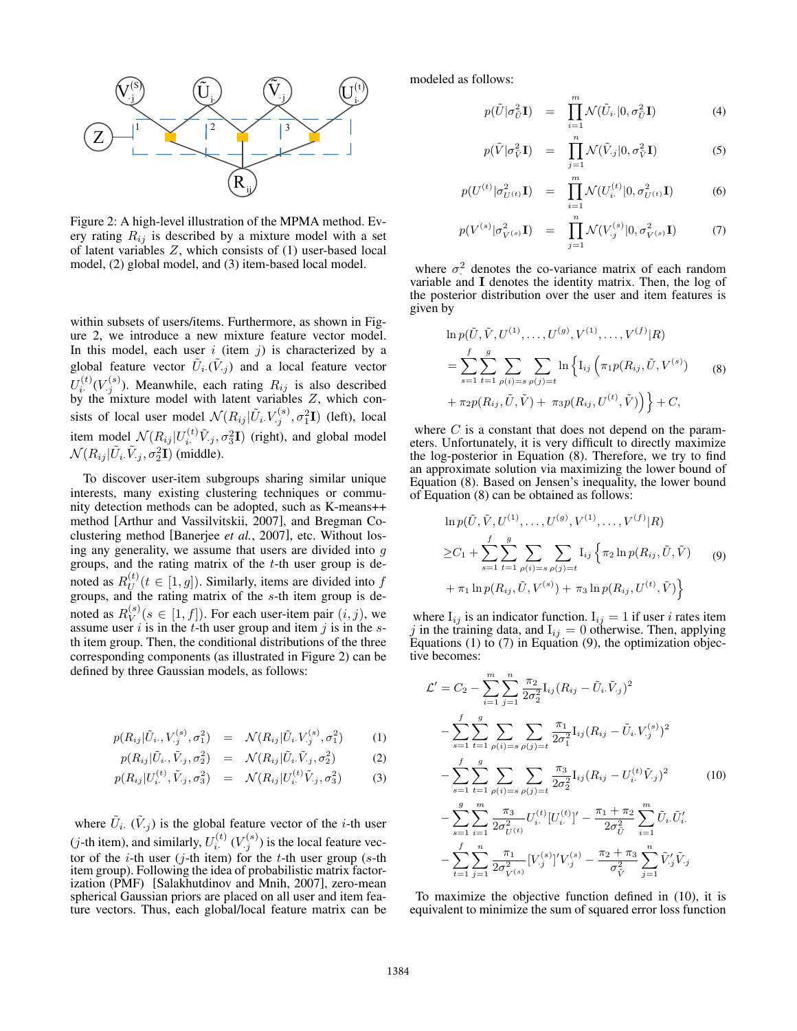

Figure 2: A high-level illustration of the MPMA method. Every rating  $R_{ij}$  is described by a mixture model with a set of latent variables *Z*, which consists of (1) user-based local model, (2) global model, and (3) item-based local model.

within subsets of users/items. Furthermore, as shown in Figure 2, we introduce a new mixture feature vector model. In this model, each user  $i$  (item  $j$ ) is characterized by a global feature vector  $\tilde{U}_i$ .  $(\tilde{V}_i)$  and a local feature vector  $U_i^{(t)}(V_j^{(s)})$ . Meanwhile, each rating  $R_{ij}$  is also described by the mixture model with latent variables *Z*, which consists of local user model  $\mathcal{N}(R_{ij}|\tilde{U}_i,V_j^{(s)}, \sigma_1^2\mathbf{I})$  (left), local item model  $\mathcal{N}(R_{ij} | U_i^{(t)} \tilde{V}_{.j}, \sigma_3^2 \mathbf{I})$  (right), and global model  $\mathcal{N}(R_{ij}|\tilde{U}_i\tilde{V}_j,\sigma_2^2\mathbf{I})$  (middle).

To discover user-item subgroups sharing similar unique interests, many existing clustering techniques or community detection methods can be adopted, such as K-means++ method [Arthur and Vassilvitskii, 2007], and Bregman Coclustering method [Banerjee *et al.*, 2007], etc. Without losing any generality, we assume that users are divided into *g* groups, and the rating matrix of the *t*-th user group is denoted as  $R_U^{(t)}$  ( $t \in [1, g]$ ). Similarly, items are divided into  $f$  groups, and the rating matrix of the *s*-th item group is denoted as  $R_V^{(s)}(s \in [1, f])$ . For each user-item pair  $(i, j)$ , we assume user *i* is in the *t*-th user group and item *j* is in the *s*th item group. Then, the conditional distributions of the three corresponding components (as illustrated in Figure 2) can be defined by three Gaussian models, as follows:

$$
p(R_{ij}|\tilde{U}_i, V_{.j}^{(s)}, \sigma_1^2) = \mathcal{N}(R_{ij}|\tilde{U}_i, V_{.j}^{(s)}, \sigma_1^2)
$$
 (1)

$$
p(R_{ij}|\tilde{U}_i,\tilde{V}_j,\sigma_2^2) = \mathcal{N}(R_{ij}|\tilde{U}_i\tilde{V}_j,\sigma_2^2)
$$
 (2)

$$
p(R_{ij}|U_i^{(t)}, \tilde{V}_{.j}, \sigma_3^2) = \mathcal{N}(R_{ij}|U_i^{(t)}\tilde{V}_{.j}, \sigma_3^2)
$$
 (3)

where  $\tilde{U}_i$ .  $(\tilde{V}_i)$  is the global feature vector of the *i*-th user (*j*-th item), and similarly,  $U_i^{(t)}(V_i^{(s)})$  is the local feature vector of the *i*-th user (*j*-th item) for the *t*-th user group (*s*-th item group). Following the idea of probabilistic matrix factorization (PMF) [Salakhutdinov and Mnih, 2007], zero-mean spherical Gaussian priors are placed on all user and item feature vectors. Thus, each global/local feature matrix can be modeled as follows:

$$
p(\tilde{U}|\sigma_{\tilde{U}}^2\mathbf{I}) = \prod_{i=1}^m \mathcal{N}(\tilde{U}_i|0,\sigma_{\tilde{U}}^2\mathbf{I})
$$
(4)

$$
p(\tilde{V}|\sigma_{\tilde{V}}^2 \mathbf{I}) = \prod_{j=1}^n \mathcal{N}(\tilde{V}_{\cdot j}|0, \sigma_{\tilde{V}}^2 \mathbf{I})
$$
 (5)

$$
p(U^{(t)} | \sigma_{U^{(t)}}^2 \mathbf{I}) = \prod_{i=1}^m \mathcal{N}(U_i^{(t)} | 0, \sigma_{U^{(t)}}^2 \mathbf{I})
$$
 (6)

$$
p(V^{(s)}|\sigma_{V^{(s)}}^2\mathbf{I}) = \prod_{j=1}^n \mathcal{N}(V^{(s)}_{\cdot j}|0, \sigma_{V^{(s)}}^2\mathbf{I}) \tag{7}
$$

where  $\sigma^2$  denotes the co-variance matrix of each random<br>regional L denotes the identity matrix. Then, the log of variable and I denotes the identity matrix. Then, the log of the posterior distribution over the user and item features is given by

$$
\ln p(\tilde{U}, \tilde{V}, U^{(1)}, \dots, U^{(g)}, V^{(1)}, \dots, V^{(f)}|R)
$$
\n
$$
= \sum_{s=1}^{f} \sum_{t=1}^{g} \sum_{\rho(i)=s} \sum_{\rho(j)=t} \ln \left\{ I_{ij} \left( \pi_1 p(R_{ij}, \tilde{U}, V^{(s)}) + \pi_2 p(R_{ij}, \tilde{U}, \tilde{V}) + \pi_3 p(R_{ij}, U^{(t)}, \tilde{V}) \right) \right\} + C,
$$
\n(8)

where *C* is a constant that does not depend on the parameters. Unfortunately, it is very difficult to directly maximize the log-posterior in Equation (8). Therefore, we try to find an approximate solution via maximizing the lower bound of Equation (8). Based on Jensen's inequality, the lower bound of Equation (8) can be obtained as follows:

$$
\ln p(\tilde{U}, \tilde{V}, U^{(1)}, \dots, U^{(g)}, V^{(1)}, \dots, V^{(f)}|R)
$$
  
\n
$$
\geq C_1 + \sum_{s=1}^{f} \sum_{t=1}^{g} \sum_{\rho(i)=s} \sum_{\rho(j)=t} I_{ij} \left\{ \pi_2 \ln p(R_{ij}, \tilde{U}, \tilde{V}) \right\}
$$
  
\n
$$
+ \pi_1 \ln p(R_{ij}, \tilde{U}, V^{(s)}) + \pi_3 \ln p(R_{ij}, U^{(t)}, \tilde{V})
$$
 (9)

where  $I_{ij}$  is an indicator function.  $I_{ij} = 1$  if user *i* rates item *j* in the training data, and  $I_{ij} = 0$  otherwise. Then, applying Equations (1) to (7) in Equation (9), the optimization objective becomes:

$$
\mathcal{L}' = C_2 - \sum_{i=1}^{m} \sum_{j=1}^{n} \frac{\pi_2}{2\sigma_2^2} I_{ij} (R_{ij} - \tilde{U}_i, \tilde{V}_j)^2
$$
  
\n
$$
- \sum_{s=1}^{f} \sum_{t=1}^{g} \sum_{\rho(i)=s} \sum_{\rho(j)=t} \frac{\pi_1}{2\sigma_1^2} I_{ij} (R_{ij} - \tilde{U}_i, V_{\cdot j}^{(s)})^2
$$
  
\n
$$
- \sum_{s=1}^{f} \sum_{t=1}^{g} \sum_{\rho(i)=s} \sum_{\rho(j)=t} \frac{\pi_3}{2\sigma_2^2} I_{ij} (R_{ij} - U_i^{(t)} \tilde{V}_{\cdot j})^2
$$
  
\n
$$
- \sum_{s=1}^{g} \sum_{i=1}^{m} \frac{\pi_3}{2\sigma_{U^{(t)}}^2} U_i^{(t)} [U_i^{(t)}] - \frac{\pi_1 + \pi_2}{2\sigma_0^2} \sum_{i=1}^{m} \tilde{U}_i \tilde{U}_i'
$$
  
\n
$$
- \sum_{t=1}^{f} \sum_{j=1}^{n} \frac{\pi_1}{2\sigma_{V^{(s)}}^2} [V_j^{(s)}]' V_{\cdot j}^{(s)} - \frac{\pi_2 + \pi_3}{\sigma_V^2} \sum_{j=1}^{n} \tilde{V}_j' \tilde{V}_{\cdot j}
$$

To maximize the objective function defined in (10), it is equivalent to minimize the sum of squared error loss function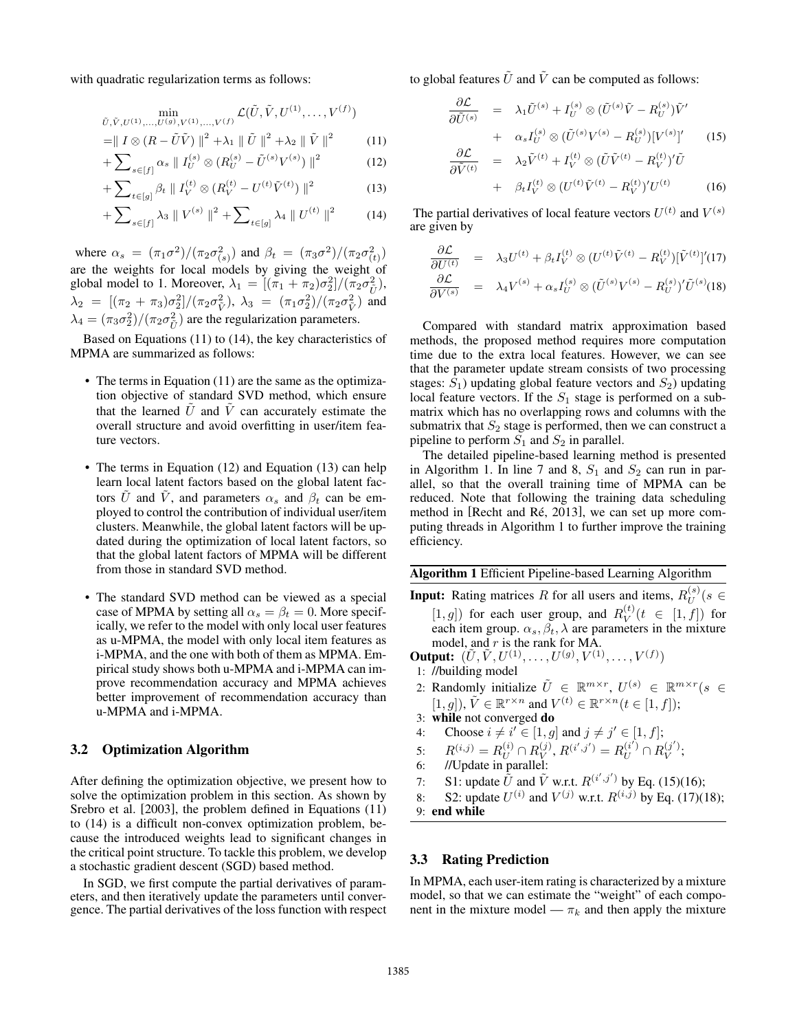with quadratic regularization terms as follows:

$$
\min_{\tilde{U}, \tilde{V}, U^{(1)}, ..., U^{(g)}, V^{(1)}, ..., V^{(f)}} \mathcal{L}(\tilde{U}, \tilde{V}, U^{(1)}, ..., V^{(f)})
$$

$$
= || I \otimes (R - \tilde{U}\tilde{V}) ||^2 + \lambda_1 || \tilde{U} ||^2 + \lambda_2 || \tilde{V} ||^2 \qquad (11)
$$

$$
+\sum_{s\in[f]} \alpha_s \parallel I_U^{(s)} \otimes (R_U^{(s)} - \tilde{U}^{(s)}V^{(s)})\parallel^2 \tag{12}
$$

$$
+\sum_{t\in[g]}\beta_t\parallel I_V^{(t)}\otimes(R_V^{(t)}-U^{(t)}\tilde{V}^{(t)})\parallel^2\tag{13}
$$

$$
+\sum_{s\in[f]}\lambda_3\parallel V^{(s)}\parallel^2+\sum_{t\in[g]}\lambda_4\parallel U^{(t)}\parallel^2\tag{14}
$$

where  $\alpha_s = (\pi_1 \sigma^2) / (\pi_2 \sigma_{(s)}^2)$  and  $\beta_t = (\pi_3 \sigma^2) / (\pi_2 \sigma_{(t)}^2)$ are the weights for local models by giving the weight of global model to 1. Moreover,  $\lambda_1 = [(\pi_1 + \pi_2)\sigma_2^2]/(\pi_2 \sigma_U^2)$ ,  $\lambda_2 = [(\pi_2 + \pi_3)\sigma_2^2]/(\pi_2\sigma_V^2)$ ,  $\lambda_3 = (\pi_1\sigma_2^2)/(\pi_2\sigma_V^2)$  and  $\lambda_4 = (\pi_3 \sigma_2^2) / (\pi_2 \sigma_{\tilde{U}}^2)$  are the regularization parameters.

Based on Equations (11) to (14), the key characteristics of MPMA are summarized as follows:

- The terms in Equation (11) are the same as the optimization objective of standard SVD method, which ensure that the learned  $U$  and  $V$  can accurately estimate the overall structure and avoid overfitting in user/item feature vectors.
- The terms in Equation (12) and Equation (13) can help learn local latent factors based on the global latent factors *U* and *V*, and parameters  $\alpha_s$  and  $\beta_t$  can be employed to control the contribution of individual user/item clusters. Meanwhile, the global latent factors will be updated during the optimization of local latent factors, so that the global latent factors of MPMA will be different from those in standard SVD method.
- The standard SVD method can be viewed as a special case of MPMA by setting all  $\alpha_s = \beta_t = 0$ . More specifically, we refer to the model with only local user features as u-MPMA, the model with only local item features as i-MPMA, and the one with both of them as MPMA. Empirical study shows both u-MPMA and i-MPMA can improve recommendation accuracy and MPMA achieves better improvement of recommendation accuracy than u-MPMA and i-MPMA.

## 3.2 Optimization Algorithm

After defining the optimization objective, we present how to solve the optimization problem in this section. As shown by Srebro et al. [2003], the problem defined in Equations (11) to (14) is a difficult non-convex optimization problem, because the introduced weights lead to significant changes in the critical point structure. To tackle this problem, we develop a stochastic gradient descent (SGD) based method.

In SGD, we first compute the partial derivatives of parameters, and then iteratively update the parameters until convergence. The partial derivatives of the loss function with respect to global features  $\tilde{U}$  and  $\tilde{V}$  can be computed as follows:

$$
\frac{\partial \mathcal{L}}{\partial \tilde{U}^{(s)}} = \lambda_1 \tilde{U}^{(s)} + I_U^{(s)} \otimes (\tilde{U}^{(s)}\tilde{V} - R_U^{(s)})\tilde{V}' \n+ \alpha_s I_U^{(s)} \otimes (\tilde{U}^{(s)}V^{(s)} - R_U^{(s)})[V^{(s)}]'
$$
\n
$$
\frac{\partial \mathcal{L}}{\partial \tilde{V}^{(t)}} = \lambda_2 \tilde{V}^{(t)} + I_V^{(t)} \otimes (\tilde{U}\tilde{V}^{(t)} - R_V^{(t)})'\tilde{U}
$$
\n(15)

+ 
$$
\beta_t I_V^{(t)} \otimes (U^{(t)} \tilde{V}^{(t)} - R_V^{(t)})' U^{(t)}
$$
 (16)

The partial derivatives of local feature vectors  $U^{(t)}$  and  $V^{(s)}$ are given by

$$
\frac{\partial \mathcal{L}}{\partial U^{(t)}} = \lambda_3 U^{(t)} + \beta_t I_V^{(t)} \otimes (U^{(t)} \tilde{V}^{(t)} - R_V^{(t)}) [\tilde{V}^{(t)}]'(17) \n\frac{\partial \mathcal{L}}{\partial V^{(s)}} = \lambda_4 V^{(s)} + \alpha_s I_U^{(s)} \otimes (\tilde{U}^{(s)} V^{(s)} - R_U^{(s)})' \tilde{U}^{(s)}(18)
$$

Compared with standard matrix approximation based methods, the proposed method requires more computation time due to the extra local features. However, we can see that the parameter update stream consists of two processing stages:  $S_1$ ) updating global feature vectors and  $S_2$ ) updating local feature vectors. If the  $S_1$  stage is performed on a submatrix which has no overlapping rows and columns with the submatrix that  $S_2$  stage is performed, then we can construct a pipeline to perform  $S_1$  and  $S_2$  in parallel.

The detailed pipeline-based learning method is presented in Algorithm 1. In line 7 and 8,  $S_1$  and  $S_2$  can run in parallel, so that the overall training time of MPMA can be reduced. Note that following the training data scheduling method in [Recht and Ré, 2013], we can set up more computing threads in Algorithm 1 to further improve the training efficiency.

Algorithm 1 Efficient Pipeline-based Learning Algorithm

**Input:** Rating matrices *R* for all users and items,  $R_U^{(s)}(s \in$ 

 $[1, g]$  for each user group, and  $R_V^{(t)}(t \in [1, f])$  for each item group.  $\alpha_s$ ,  $\beta_t$ ,  $\lambda$  are parameters in the mixture model, and *r* is the rank for MA.

**Output:**  $(\tilde{U}, \tilde{V}, U^{(1)}, \ldots, U^{(g)}, V^{(1)}, \ldots, V^{(f)})$ 

- 1: //building model
- 2: Randomly initialize  $\tilde{U} \in \mathbb{R}^{m \times r}$ ,  $U^{(s)} \in \mathbb{R}^{m \times r}$  ( $s \in$  $[1, g]$ ,  $\tilde{V} \in \mathbb{R}^{r \times n}$  and  $V^{(t)} \in \mathbb{R}^{r \times n}$   $(t \in [1, f])$ ;
- 3: while not converged do
- 4: Choose  $i \neq i' \in [1, g]$  and  $j \neq j' \in [1, f]$ ;
- $B^{(i,j)} = R^{(i)}_U \cap R^{(j)}_V, R^{(i',j')} = R^{(i')}_U \cap R^{(j')}_V;$
- 6: //Update in parallel:
- 7: S1: update  $\tilde{U}$  and  $\tilde{V}$  w.r.t.  $R^{(i',j')}$  by Eq. (15)(16);
- 8: S2: update  $U^{(i)}$  and  $V^{(j)}$  w.r.t.  $R^{(i,j)}$  by Eq. (17)(18);
- 9: end while

#### 3.3 Rating Prediction

In MPMA, each user-item rating is characterized by a mixture model, so that we can estimate the "weight" of each component in the mixture model —  $\pi_k$  and then apply the mixture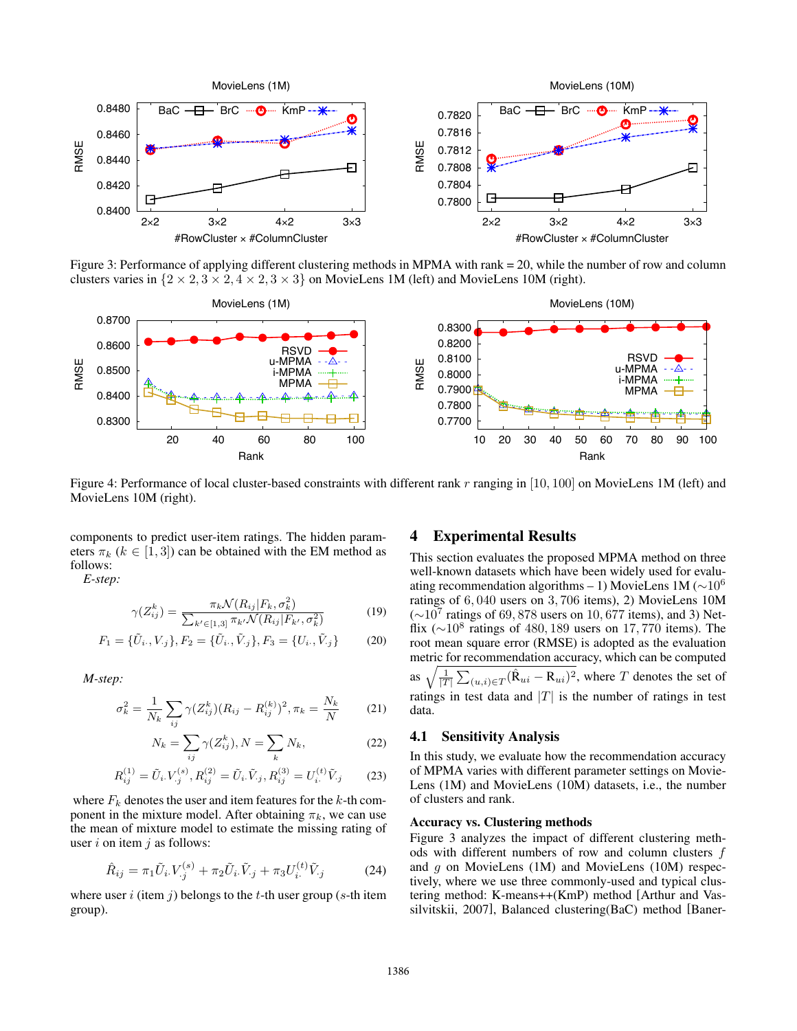

Figure 3: Performance of applying different clustering methods in MPMA with rank = 20, while the number of row and column clusters varies in  $\{2 \times 2, 3 \times 2, 4 \times 2, 3 \times 3\}$  on MovieLens 1M (left) and MovieLens 10M (right).



Figure 4: Performance of local cluster-based constraints with different rank *r* ranging in [10*,* 100] on MovieLens 1M (left) and MovieLens 10M (right).

components to predict user-item ratings. The hidden parameters  $\pi_k$  ( $k \in [1, 3]$ ) can be obtained with the EM method as follows:

*E-step:*

$$
\gamma(Z_{ij}^k) = \frac{\pi_k \mathcal{N}(R_{ij}|F_k, \sigma_k^2)}{\sum_{k' \in [1,3]} \pi_{k'} \mathcal{N}(R_{ij}|F_{k'}, \sigma_k^2)}
$$
(19)

$$
F_1 = \{\tilde{U}_i, V_j\}, F_2 = \{\tilde{U}_i, \tilde{V}_j\}, F_3 = \{U_i, \tilde{V}_j\}
$$
(20)

*M-step:*

$$
\sigma_k^2 = \frac{1}{N_k} \sum_{ij} \gamma (Z_{ij}^k)(R_{ij} - R_{ij}^{(k)})^2, \pi_k = \frac{N_k}{N}
$$
 (21)

$$
N_k = \sum_{ij} \gamma(Z_{ij}^k), N = \sum_k N_k,
$$
\n(22)

$$
R_{ij}^{(1)} = \tilde{U}_i V_{.j}^{(s)}, R_{ij}^{(2)} = \tilde{U}_i \tilde{V}_{.j}, R_{ij}^{(3)} = U_i^{(t)} \tilde{V}_{.j}
$$
 (23)

where  $F_k$  denotes the user and item features for the  $k$ -th component in the mixture model. After obtaining  $\pi_k$ , we can use the mean of mixture model to estimate the missing rating of user *i* on item *j* as follows:

$$
\hat{R}_{ij} = \pi_1 \tilde{U}_i V_j^{(s)} + \pi_2 \tilde{U}_i \tilde{V}_j + \pi_3 U_i^{(t)} \tilde{V}_j \tag{24}
$$

where user *i* (item *j*) belongs to the *t*-th user group (*s*-th item group).

## 4 Experimental Results

This section evaluates the proposed MPMA method on three well-known datasets which have been widely used for evaluating recommendation algorithms – 1) MovieLens 1M ( $\sim$ 10<sup>6</sup> ratings of 6*,* 040 users on 3*,* 706 items), 2) MovieLens 10M  $(\sim 10^7 \text{ ratings of } 69,878 \text{ users on } 10,677 \text{ items}), \text{ and } 3)$  Netflix  $({\sim}10^8$  ratings of 480, 189 users on 17, 770 items). The root mean square error (RMSE) is adopted as the evaluation metric for recommendation accuracy, which can be computed as  $\sqrt{\frac{1}{|T|}\sum_{(u,i)\in T}(\hat{\mathbf{R}}_{ui}-\mathbf{R}_{ui})^2}$ , where *T* denotes the set of ratings in test data and  $|T|$  is the number of ratings in test data.

## 4.1 Sensitivity Analysis

In this study, we evaluate how the recommendation accuracy of MPMA varies with different parameter settings on Movie-Lens (1M) and MovieLens (10M) datasets, i.e., the number of clusters and rank.

#### Accuracy vs. Clustering methods

Figure 3 analyzes the impact of different clustering methods with different numbers of row and column clusters *f* and *g* on MovieLens (1M) and MovieLens (10M) respectively, where we use three commonly-used and typical clustering method: K-means++(KmP) method [Arthur and Vassilvitskii, 2007], Balanced clustering(BaC) method [Baner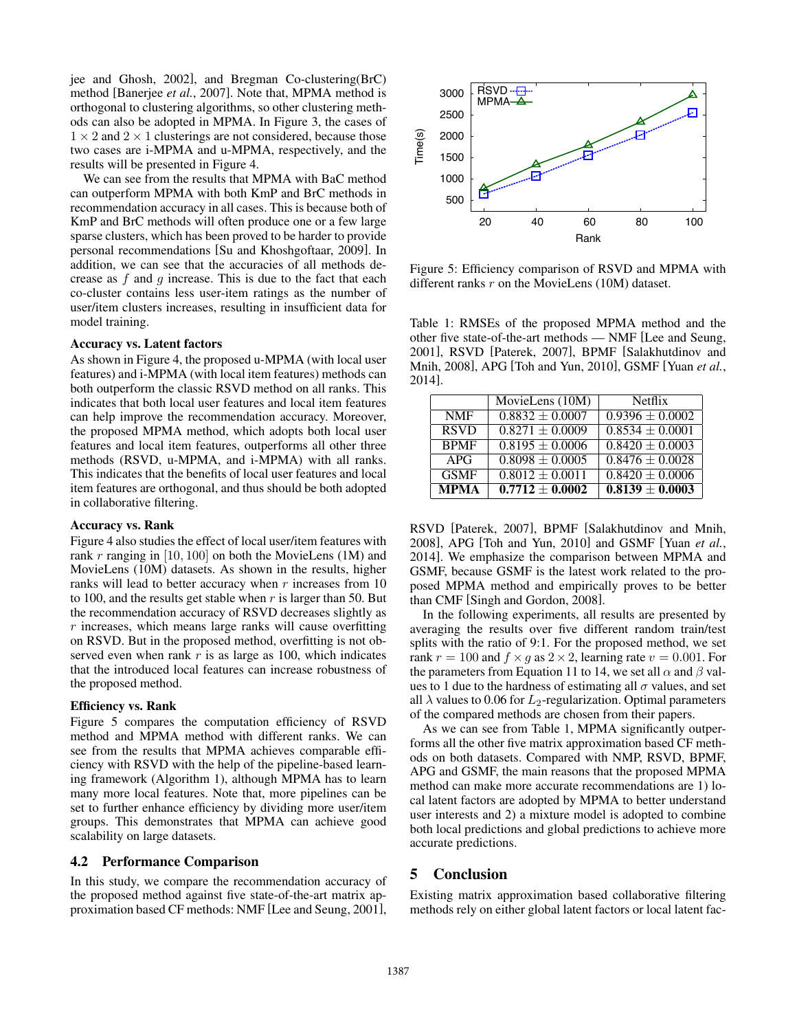jee and Ghosh, 2002], and Bregman Co-clustering(BrC) method [Banerjee *et al.*, 2007]. Note that, MPMA method is orthogonal to clustering algorithms, so other clustering methods can also be adopted in MPMA. In Figure 3, the cases of  $1 \times 2$  and  $2 \times 1$  clusterings are not considered, because those two cases are i-MPMA and u-MPMA, respectively, and the results will be presented in Figure 4.

We can see from the results that MPMA with BaC method can outperform MPMA with both KmP and BrC methods in recommendation accuracy in all cases. This is because both of KmP and BrC methods will often produce one or a few large sparse clusters, which has been proved to be harder to provide personal recommendations [Su and Khoshgoftaar, 2009]. In addition, we can see that the accuracies of all methods decrease as *f* and *g* increase. This is due to the fact that each co-cluster contains less user-item ratings as the number of user/item clusters increases, resulting in insufficient data for model training.

#### Accuracy vs. Latent factors

As shown in Figure 4, the proposed u-MPMA (with local user features) and i-MPMA (with local item features) methods can both outperform the classic RSVD method on all ranks. This indicates that both local user features and local item features can help improve the recommendation accuracy. Moreover, the proposed MPMA method, which adopts both local user features and local item features, outperforms all other three methods (RSVD, u-MPMA, and i-MPMA) with all ranks. This indicates that the benefits of local user features and local item features are orthogonal, and thus should be both adopted in collaborative filtering.

#### Accuracy vs. Rank

Figure 4 also studies the effect of local user/item features with rank *r* ranging in [10*,* 100] on both the MovieLens (1M) and MovieLens (10M) datasets. As shown in the results, higher ranks will lead to better accuracy when *r* increases from 10 to 100, and the results get stable when *r* is larger than 50. But the recommendation accuracy of RSVD decreases slightly as *r* increases, which means large ranks will cause overfitting on RSVD. But in the proposed method, overfitting is not observed even when rank *r* is as large as 100, which indicates that the introduced local features can increase robustness of the proposed method.

#### Efficiency vs. Rank

Figure 5 compares the computation efficiency of RSVD method and MPMA method with different ranks. We can see from the results that MPMA achieves comparable efficiency with RSVD with the help of the pipeline-based learning framework (Algorithm 1), although MPMA has to learn many more local features. Note that, more pipelines can be set to further enhance efficiency by dividing more user/item groups. This demonstrates that MPMA can achieve good scalability on large datasets.

#### 4.2 Performance Comparison

In this study, we compare the recommendation accuracy of the proposed method against five state-of-the-art matrix approximation based CF methods: NMF [Lee and Seung, 2001],



Figure 5: Efficiency comparison of RSVD and MPMA with different ranks *r* on the MovieLens (10M) dataset.

Table 1: RMSEs of the proposed MPMA method and the other five state-of-the-art methods — NMF [Lee and Seung, 2001], RSVD [Paterek, 2007], BPMF [Salakhutdinov and Mnih, 2008], APG [Toh and Yun, 2010], GSMF [Yuan *et al.*, 2014].

|             | MovieLens (10M)                | <b>Netflix</b>      |
|-------------|--------------------------------|---------------------|
| <b>NMF</b>  | $0.8832 \pm 0.0007$            | $0.9396 \pm 0.0002$ |
| <b>RSVD</b> | $0.8271 \pm 0.0009$            | $0.8534 \pm 0.0001$ |
| <b>BPMF</b> | $0.8195 \pm 0.0006$            | $0.8420 \pm 0.0003$ |
| APG         | $0.8098 \pm 0.0005$            | $0.8476 \pm 0.0028$ |
| <b>GSMF</b> | $\overline{0.8012} \pm 0.0011$ | $0.8420 \pm 0.0006$ |
| <b>MPMA</b> | $\overline{0.7712 \pm 0.0002}$ | $0.8139 \pm 0.0003$ |

RSVD [Paterek, 2007], BPMF [Salakhutdinov and Mnih, 2008], APG [Toh and Yun, 2010] and GSMF [Yuan *et al.*, 2014]. We emphasize the comparison between MPMA and GSMF, because GSMF is the latest work related to the proposed MPMA method and empirically proves to be better than CMF [Singh and Gordon, 2008].

In the following experiments, all results are presented by averaging the results over five different random train/test splits with the ratio of 9:1. For the proposed method, we set rank  $r = 100$  and  $f \times g$  as  $2 \times 2$ , learning rate  $v = 0.001$ . For the parameters from Equation 11 to 14, we set all  $\alpha$  and  $\beta$  values to 1 due to the hardness of estimating all  $\sigma$  values, and set all  $\lambda$  values to 0.06 for  $L_2$ -regularization. Optimal parameters of the compared methods are chosen from their papers.

As we can see from Table 1, MPMA significantly outperforms all the other five matrix approximation based CF methods on both datasets. Compared with NMP, RSVD, BPMF, APG and GSMF, the main reasons that the proposed MPMA method can make more accurate recommendations are 1) local latent factors are adopted by MPMA to better understand user interests and 2) a mixture model is adopted to combine both local predictions and global predictions to achieve more accurate predictions.

### 5 Conclusion

Existing matrix approximation based collaborative filtering methods rely on either global latent factors or local latent fac